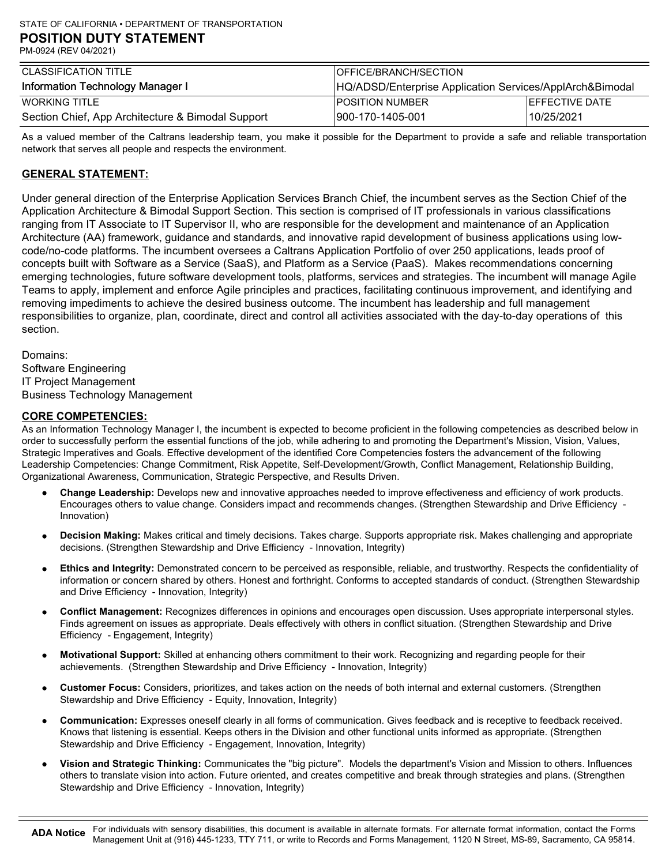| CLASSIFICATION TITLE                              | <b>IOFFICE/BRANCH/SECTION</b>                            |                        |  |
|---------------------------------------------------|----------------------------------------------------------|------------------------|--|
| Information Technology Manager I                  | HQ/ADSD/Enterprise Application Services/ApplArch&Bimodal |                        |  |
| WORKING TITLE                                     | <b>IPOSITION NUMBER</b>                                  | <b>IEFFECTIVE DATE</b> |  |
| Section Chief, App Architecture & Bimodal Support | 1900-170-1405-001                                        | 10/25/2021             |  |

As a valued member of the Caltrans leadership team, you make it possible for the Department to provide a safe and reliable transportation network that serves all people and respects the environment.

# GENERAL STATEMENT:

Under general direction of the Enterprise Application Services Branch Chief, the incumbent serves as the Section Chief of the Application Architecture & Bimodal Support Section. This section is comprised of IT professionals in various classifications ranging from IT Associate to IT Supervisor II, who are responsible for the development and maintenance of an Application Architecture (AA) framework, guidance and standards, and innovative rapid development of business applications using lowcode/no-code platforms. The incumbent oversees a Caltrans Application Portfolio of over 250 applications, leads proof of concepts built with Software as a Service (SaaS), and Platform as a Service (PaaS). Makes recommendations concerning emerging technologies, future software development tools, platforms, services and strategies. The incumbent will manage Agile Teams to apply, implement and enforce Agile principles and practices, facilitating continuous improvement, and identifying and removing impediments to achieve the desired business outcome. The incumbent has leadership and full management responsibilities to organize, plan, coordinate, direct and control all activities associated with the day-to-day operations of this section.

Domains: Software Engineering IT Project Management Business Technology Management

#### CORE COMPETENCIES:

As an Information Technology Manager I, the incumbent is expected to become proficient in the following competencies as described below in order to successfully perform the essential functions of the job, while adhering to and promoting the Department's Mission, Vision, Values, Strategic Imperatives and Goals. Effective development of the identified Core Competencies fosters the advancement of the following Leadership Competencies: Change Commitment, Risk Appetite, Self-Development/Growth, Conflict Management, Relationship Building, Organizational Awareness, Communication, Strategic Perspective, and Results Driven.

- Change Leadership: Develops new and innovative approaches needed to improve effectiveness and efficiency of work products. Encourages others to value change. Considers impact and recommends changes. (Strengthen Stewardship and Drive Efficiency - Innovation)
- Decision Making: Makes critical and timely decisions. Takes charge. Supports appropriate risk. Makes challenging and appropriate decisions. (Strengthen Stewardship and Drive Efficiency - Innovation, Integrity)
- Ethics and Integrity: Demonstrated concern to be perceived as responsible, reliable, and trustworthy. Respects the confidentiality of information or concern shared by others. Honest and forthright. Conforms to accepted standards of conduct. (Strengthen Stewardship and Drive Efficiency - Innovation, Integrity)
- Conflict Management: Recognizes differences in opinions and encourages open discussion. Uses appropriate interpersonal styles. Finds agreement on issues as appropriate. Deals effectively with others in conflict situation. (Strengthen Stewardship and Drive Efficiency - Engagement, Integrity)
- Motivational Support: Skilled at enhancing others commitment to their work. Recognizing and regarding people for their achievements. (Strengthen Stewardship and Drive Efficiency - Innovation, Integrity)
- Customer Focus: Considers, prioritizes, and takes action on the needs of both internal and external customers. (Strengthen  $\bullet$ Stewardship and Drive Efficiency - Equity, Innovation, Integrity)
- Communication: Expresses oneself clearly in all forms of communication. Gives feedback and is receptive to feedback received. Knows that listening is essential. Keeps others in the Division and other functional units informed as appropriate. (Strengthen Stewardship and Drive Efficiency - Engagement, Innovation, Integrity)
- Vision and Strategic Thinking: Communicates the "big picture". Models the department's Vision and Mission to others. Influences others to translate vision into action. Future oriented, and creates competitive and break through strategies and plans. (Strengthen Stewardship and Drive Efficiency - Innovation, Integrity)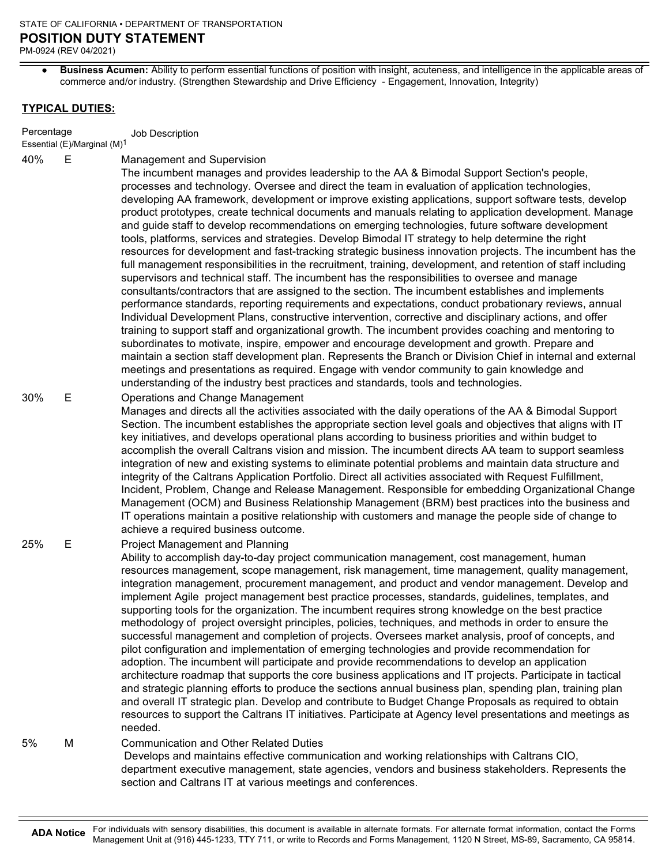Business Acumen: Ability to perform essential functions of position with insight, acuteness, and intelligence in the applicable areas of commerce and/or industry. (Strengthen Stewardship and Drive Efficiency - Engagement, Innovation, Integrity)

### TYPICAL DUTIES:

Percentage Job Description

Essential (E)/Marginal (M)1

Management and Supervision 40% E

The incumbent manages and provides leadership to the AA & Bimodal Support Section's people, processes and technology. Oversee and direct the team in evaluation of application technologies, developing AA framework, development or improve existing applications, support software tests, develop product prototypes, create technical documents and manuals relating to application development. Manage and guide staff to develop recommendations on emerging technologies, future software development tools, platforms, services and strategies. Develop Bimodal IT strategy to help determine the right resources for development and fast-tracking strategic business innovation projects. The incumbent has the full management responsibilities in the recruitment, training, development, and retention of staff including supervisors and technical staff. The incumbent has the responsibilities to oversee and manage consultants/contractors that are assigned to the section. The incumbent establishes and implements performance standards, reporting requirements and expectations, conduct probationary reviews, annual Individual Development Plans, constructive intervention, corrective and disciplinary actions, and offer training to support staff and organizational growth. The incumbent provides coaching and mentoring to subordinates to motivate, inspire, empower and encourage development and growth. Prepare and maintain a section staff development plan. Represents the Branch or Division Chief in internal and external meetings and presentations as required. Engage with vendor community to gain knowledge and understanding of the industry best practices and standards, tools and technologies.

#### Operations and Change Management 30% E

Manages and directs all the activities associated with the daily operations of the AA & Bimodal Support Section. The incumbent establishes the appropriate section level goals and objectives that aligns with IT key initiatives, and develops operational plans according to business priorities and within budget to accomplish the overall Caltrans vision and mission. The incumbent directs AA team to support seamless integration of new and existing systems to eliminate potential problems and maintain data structure and integrity of the Caltrans Application Portfolio. Direct all activities associated with Request Fulfillment, Incident, Problem, Change and Release Management. Responsible for embedding Organizational Change Management (OCM) and Business Relationship Management (BRM) best practices into the business and IT operations maintain a positive relationship with customers and manage the people side of change to achieve a required business outcome.

#### Project Management and Planning 25% E

Ability to accomplish day-to-day project communication management, cost management, human resources management, scope management, risk management, time management, quality management, integration management, procurement management, and product and vendor management. Develop and implement Agile project management best practice processes, standards, guidelines, templates, and supporting tools for the organization. The incumbent requires strong knowledge on the best practice methodology of project oversight principles, policies, techniques, and methods in order to ensure the successful management and completion of projects. Oversees market analysis, proof of concepts, and pilot configuration and implementation of emerging technologies and provide recommendation for adoption. The incumbent will participate and provide recommendations to develop an application architecture roadmap that supports the core business applications and IT projects. Participate in tactical and strategic planning efforts to produce the sections annual business plan, spending plan, training plan and overall IT strategic plan. Develop and contribute to Budget Change Proposals as required to obtain resources to support the Caltrans IT initiatives. Participate at Agency level presentations and meetings as needed.

#### Communication and Other Related Duties 5% M

 Develops and maintains effective communication and working relationships with Caltrans CIO, department executive management, state agencies, vendors and business stakeholders. Represents the section and Caltrans IT at various meetings and conferences.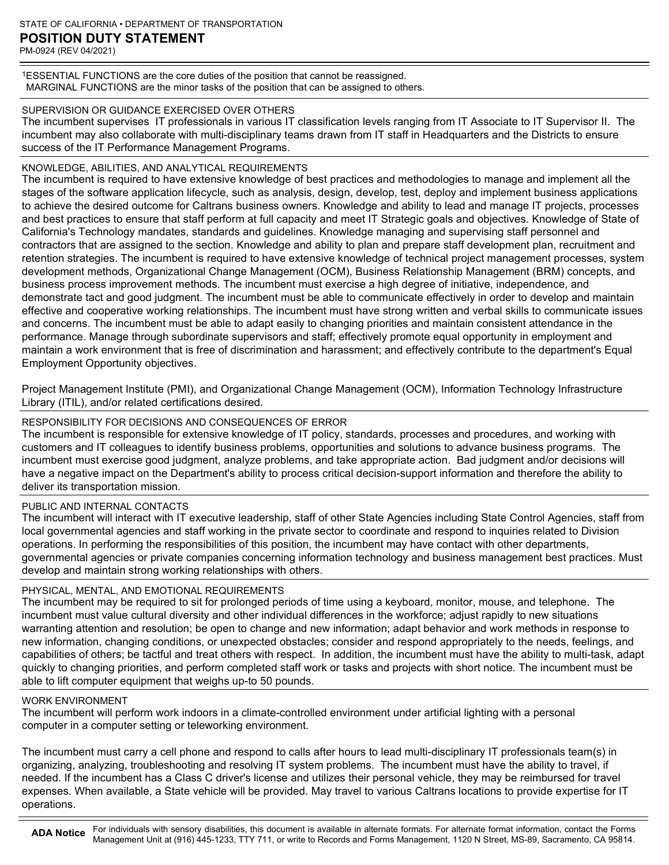1ESSENTIAL FUNCTIONS are the core duties of the position that cannot be reassigned. MARGINAL FUNCTIONS are the minor tasks of the position that can be assigned to others.

# SUPERVISION OR GUIDANCE EXERCISED OVER OTHERS

The incumbent supervises IT professionals in various IT classification levels ranging from IT Associate to IT Supervisor II. The incumbent may also collaborate with multi-disciplinary teams drawn from IT staff in Headquarters and the Districts to ensure success of the IT Performance Management Programs.

### KNOWLEDGE, ABILITIES, AND ANALYTICAL REQUIREMENTS

The incumbent is required to have extensive knowledge of best practices and methodologies to manage and implement all the stages of the software application lifecycle, such as analysis, design, develop, test, deploy and implement business applications to achieve the desired outcome for Caltrans business owners. Knowledge and ability to lead and manage IT projects, processes and best practices to ensure that staff perform at full capacity and meet IT Strategic goals and objectives. Knowledge of State of California's Technology mandates, standards and guidelines. Knowledge managing and supervising staff personnel and contractors that are assigned to the section. Knowledge and ability to plan and prepare staff development plan, recruitment and retention strategies. The incumbent is required to have extensive knowledge of technical project management processes, system development methods, Organizational Change Management (OCM), Business Relationship Management (BRM) concepts, and business process improvement methods. The incumbent must exercise a high degree of initiative, independence, and demonstrate tact and good judgment. The incumbent must be able to communicate effectively in order to develop and maintain effective and cooperative working relationships. The incumbent must have strong written and verbal skills to communicate issues and concerns. The incumbent must be able to adapt easily to changing priorities and maintain consistent attendance in the performance. Manage through subordinate supervisors and staff; effectively promote equal opportunity in employment and maintain a work environment that is free of discrimination and harassment; and effectively contribute to the department's Equal Employment Opportunity objectives.

Project Management Institute (PMI), and Organizational Change Management (OCM), Information Technology Infrastructure Library (ITIL), and/or related certifications desired.

# RESPONSIBILITY FOR DECISIONS AND CONSEQUENCES OF ERROR

The incumbent is responsible for extensive knowledge of IT policy, standards, processes and procedures, and working with customers and IT colleagues to identify business problems, opportunities and solutions to advance business programs. The incumbent must exercise good judgment, analyze problems, and take appropriate action. Bad judgment and/or decisions will have a negative impact on the Department's ability to process critical decision-support information and therefore the ability to deliver its transportation mission.

# PUBLIC AND INTERNAL CONTACTS

The incumbent will interact with IT executive leadership, staff of other State Agencies including State Control Agencies, staff from local governmental agencies and staff working in the private sector to coordinate and respond to inquiries related to Division operations. In performing the responsibilities of this position, the incumbent may have contact with other departments, governmental agencies or private companies concerning information technology and business management best practices. Must develop and maintain strong working relationships with others.

# PHYSICAL, MENTAL, AND EMOTIONAL REQUIREMENTS

The incumbent may be required to sit for prolonged periods of time using a keyboard, monitor, mouse, and telephone. The incumbent must value cultural diversity and other individual differences in the workforce; adjust rapidly to new situations warranting attention and resolution; be open to change and new information; adapt behavior and work methods in response to new information, changing conditions, or unexpected obstacles; consider and respond appropriately to the needs, feelings, and capabilities of others; be tactful and treat others with respect. In addition, the incumbent must have the ability to multi-task, adapt quickly to changing priorities, and perform completed staff work or tasks and projects with short notice. The incumbent must be able to lift computer equipment that weighs up-to 50 pounds.

#### WORK ENVIRONMENT

The incumbent will perform work indoors in a climate-controlled environment under artificial lighting with a personal computer in a computer setting or teleworking environment.

The incumbent must carry a cell phone and respond to calls after hours to lead multi-disciplinary IT professionals team(s) in organizing, analyzing, troubleshooting and resolving IT system problems. The incumbent must have the ability to travel, if needed. If the incumbent has a Class C driver's license and utilizes their personal vehicle, they may be reimbursed for travel expenses. When available, a State vehicle will be provided. May travel to various Caltrans locations to provide expertise for IT operations.